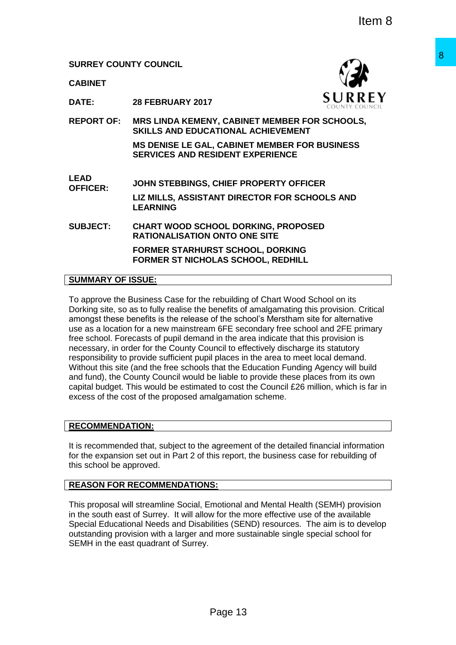**CABINET**



**DATE: 28 FEBRUARY 2017**

**REPORT OF: MRS LINDA KEMENY, CABINET MEMBER FOR SCHOOLS, SKILLS AND EDUCATIONAL ACHIEVEMENT**

**MS DENISE LE GAL, CABINET MEMBER FOR BUSINESS SERVICES AND RESIDENT EXPERIENCE**

**LEAD OFFICER: JOHN STEBBINGS, CHIEF PROPERTY OFFICER LIZ MILLS, ASSISTANT DIRECTOR FOR SCHOOLS AND LEARNING**

**SUBJECT: CHART WOOD SCHOOL DORKING, PROPOSED RATIONALISATION ONTO ONE SITE**

> **FORMER STARHURST SCHOOL, DORKING FORMER ST NICHOLAS SCHOOL, REDHILL**

#### **SUMMARY OF ISSUE:**

To approve the Business Case for the rebuilding of Chart Wood School on its Dorking site, so as to fully realise the benefits of amalgamating this provision. Critical amongst these benefits is the release of the school's Merstham site for alternative use as a location for a new mainstream 6FE secondary free school and 2FE primary free school. Forecasts of pupil demand in the area indicate that this provision is necessary, in order for the County Council to effectively discharge its statutory responsibility to provide sufficient pupil places in the area to meet local demand. Without this site (and the free schools that the Education Funding Agency will build and fund), the County Council would be liable to provide these places from its own capital budget. This would be estimated to cost the Council £26 million, which is far in excess of the cost of the proposed amalgamation scheme. **Page 13**<br>
Proposition Schule Venement of the distribution of the more system of the system of the system of the system content<br>
and CAMENT MEMBER FOR SCHOOLS.<br>
CABINET MEMBER FOR BUSINESS<br>
SIDENT EXPERIENCE<br>
CHIEF PROPERT

# **RECOMMENDATION:**

It is recommended that, subject to the agreement of the detailed financial information for the expansion set out in Part 2 of this report, the business case for rebuilding of this school be approved.

## **REASON FOR RECOMMENDATIONS:**

This proposal will streamline Social, Emotional and Mental Health (SEMH) provision in the south east of Surrey. It will allow for the more effective use of the available Special Educational Needs and Disabilities (SEND) resources. The aim is to develop outstanding provision with a larger and more sustainable single special school for SEMH in the east quadrant of Surrey.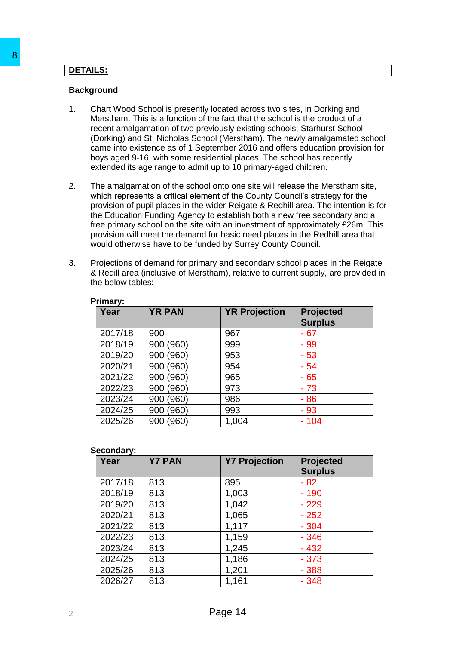# **DETAILS:**

## **Background**

- 1. Chart Wood School is presently located across two sites, in Dorking and Merstham. This is a function of the fact that the school is the product of a recent amalgamation of two previously existing schools; Starhurst School (Dorking) and St. Nicholas School (Merstham). The newly amalgamated school came into existence as of 1 September 2016 and offers education provision for boys aged 9-16, with some residential places. The school has recently extended its age range to admit up to 10 primary-aged children.
- 2. The amalgamation of the school onto one site will release the Merstham site, which represents a critical element of the County Council's strategy for the provision of pupil places in the wider Reigate & Redhill area. The intention is for the Education Funding Agency to establish both a new free secondary and a free primary school on the site with an investment of approximately £26m. This provision will meet the demand for basic need places in the Redhill area that would otherwise have to be funded by Surrey County Council.
- 3. Projections of demand for primary and secondary school places in the Reigate & Redill area (inclusive of Merstham), relative to current supply, are provided in the below tables:

| Year    | <b>YR PAN</b> | <b>YR Projection</b> | <b>Projected</b><br><b>Surplus</b> |
|---------|---------------|----------------------|------------------------------------|
| 2017/18 | 900           | 967                  | $-67$                              |
| 2018/19 | 900 (960)     | 999                  | $-99$                              |
| 2019/20 | 900 (960)     | 953                  | $-53$                              |
| 2020/21 | 900 (960)     | 954                  | $-54$                              |
| 2021/22 | 900 (960)     | 965                  | $-65$                              |
| 2022/23 | 900 (960)     | 973                  | $-73$                              |
| 2023/24 | 900 (960)     | 986                  | $-86$                              |
| 2024/25 | 900 (960)     | 993                  | $-93$                              |
| 2025/26 | (960)<br>900  | 1,004                | $-104$                             |

#### **Primary:**

#### **Secondary:**

|    | <b>Background</b>                                                                                                                                                                                                                                                                                                                                                                                                                                                                                                                                         |               |                      |                                              |  |  |
|----|-----------------------------------------------------------------------------------------------------------------------------------------------------------------------------------------------------------------------------------------------------------------------------------------------------------------------------------------------------------------------------------------------------------------------------------------------------------------------------------------------------------------------------------------------------------|---------------|----------------------|----------------------------------------------|--|--|
| 1. | Chart Wood School is presently located across two sites, in Dorking and<br>Merstham. This is a function of the fact that the school is the product of a<br>recent amalgamation of two previously existing schools; Starhurst School<br>(Dorking) and St. Nicholas School (Merstham). The newly amalgamated sch<br>came into existence as of 1 September 2016 and offers education provision<br>boys aged 9-16, with some residential places. The school has recently<br>extended its age range to admit up to 10 primary-aged children.                   |               |                      |                                              |  |  |
| 2. | The amalgamation of the school onto one site will release the Merstham site<br>which represents a critical element of the County Council's strategy for the<br>provision of pupil places in the wider Reigate & Redhill area. The intention is<br>the Education Funding Agency to establish both a new free secondary and a<br>free primary school on the site with an investment of approximately £26m. T<br>provision will meet the demand for basic need places in the Redhill area tha<br>would otherwise have to be funded by Surrey County Council. |               |                      |                                              |  |  |
| 3. | Projections of demand for primary and secondary school places in the Reiga<br>& Redill area (inclusive of Merstham), relative to current supply, are provided<br>the below tables:                                                                                                                                                                                                                                                                                                                                                                        |               |                      |                                              |  |  |
|    | Primary:<br>Year                                                                                                                                                                                                                                                                                                                                                                                                                                                                                                                                          | <b>YR PAN</b> | <b>YR Projection</b> | <b>Projected</b><br><b>Surplus</b>           |  |  |
|    | 2017/18                                                                                                                                                                                                                                                                                                                                                                                                                                                                                                                                                   | 900           | 967                  | $-67$                                        |  |  |
|    | 2018/19                                                                                                                                                                                                                                                                                                                                                                                                                                                                                                                                                   | 900 (960)     | 999                  | $-99$                                        |  |  |
|    |                                                                                                                                                                                                                                                                                                                                                                                                                                                                                                                                                           | 900 (960)     | 953                  | $-53$                                        |  |  |
|    | 2019/20                                                                                                                                                                                                                                                                                                                                                                                                                                                                                                                                                   |               |                      |                                              |  |  |
|    | 2020/21                                                                                                                                                                                                                                                                                                                                                                                                                                                                                                                                                   | 900 (960)     | 954                  | $-54$                                        |  |  |
|    | 2021/22                                                                                                                                                                                                                                                                                                                                                                                                                                                                                                                                                   | 900 (960)     | 965                  |                                              |  |  |
|    | 2022/23                                                                                                                                                                                                                                                                                                                                                                                                                                                                                                                                                   | 900 (960)     | 973                  | $-65$<br>$-73$                               |  |  |
|    | 2023/24                                                                                                                                                                                                                                                                                                                                                                                                                                                                                                                                                   | 900 (960)     | 986                  | $-86$                                        |  |  |
|    | 2024/25                                                                                                                                                                                                                                                                                                                                                                                                                                                                                                                                                   | 900 (960)     | 993                  | $-93$                                        |  |  |
|    | 2025/26                                                                                                                                                                                                                                                                                                                                                                                                                                                                                                                                                   | 900 (960)     | 1,004                | $-104$                                       |  |  |
|    | Secondary:                                                                                                                                                                                                                                                                                                                                                                                                                                                                                                                                                |               |                      |                                              |  |  |
|    | Year                                                                                                                                                                                                                                                                                                                                                                                                                                                                                                                                                      | <b>Y7 PAN</b> | <b>Y7 Projection</b> |                                              |  |  |
|    | 2017/18                                                                                                                                                                                                                                                                                                                                                                                                                                                                                                                                                   | 813           | 895                  | $-82$                                        |  |  |
|    | 2018/19                                                                                                                                                                                                                                                                                                                                                                                                                                                                                                                                                   | 813           | 1,003                | $-190$                                       |  |  |
|    | 2019/20                                                                                                                                                                                                                                                                                                                                                                                                                                                                                                                                                   | 813           | 1,042                | $-229$                                       |  |  |
|    | 2020/21                                                                                                                                                                                                                                                                                                                                                                                                                                                                                                                                                   | 813           | 1,065                | $-252$                                       |  |  |
|    | 2021/22                                                                                                                                                                                                                                                                                                                                                                                                                                                                                                                                                   | 813           | 1,117                | $-304$                                       |  |  |
|    | 2022/23                                                                                                                                                                                                                                                                                                                                                                                                                                                                                                                                                   | 813           | 1,159                | $-346$                                       |  |  |
|    | 2023/24                                                                                                                                                                                                                                                                                                                                                                                                                                                                                                                                                   | 813           | 1,245                | <b>Projected</b><br><b>Surplus</b><br>$-432$ |  |  |
|    | 2024/25                                                                                                                                                                                                                                                                                                                                                                                                                                                                                                                                                   | 813           | 1,186                | $-373$                                       |  |  |
|    | 2025/26<br>2026/27                                                                                                                                                                                                                                                                                                                                                                                                                                                                                                                                        | 813<br>813    | 1,201<br>1,161       | $-388$<br>$-348$                             |  |  |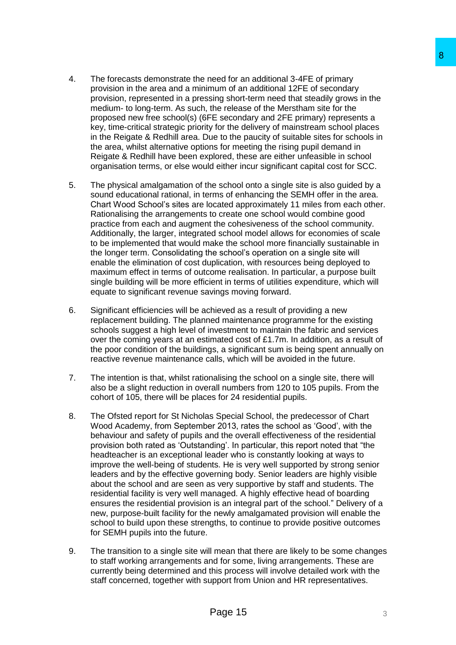- 4. The forecasts demonstrate the need for an additional 3-4FE of primary provision in the area and a minimum of an additional 12FE of secondary provision, represented in a pressing short-term need that steadily grows in the medium- to long-term. As such, the release of the Merstham site for the proposed new free school(s) (6FE secondary and 2FE primary) represents a key, time-critical strategic priority for the delivery of mainstream school places in the Reigate & Redhill area. Due to the paucity of suitable sites for schools in the area, whilst alternative options for meeting the rising pupil demand in Reigate & Redhill have been explored, these are either unfeasible in school organisation terms, or else would either incur significant capital cost for SCC.
- 5. The physical amalgamation of the school onto a single site is also guided by a sound educational rational, in terms of enhancing the SEMH offer in the area. Chart Wood School's sites are located approximately 11 miles from each other. Rationalising the arrangements to create one school would combine good practice from each and augment the cohesiveness of the school community. Additionally, the larger, integrated school model allows for economies of scale to be implemented that would make the school more financially sustainable in the longer term. Consolidating the school's operation on a single site will enable the elimination of cost duplication, with resources being deployed to maximum effect in terms of outcome realisation. In particular, a purpose built single building will be more efficient in terms of utilities expenditure, which will equate to significant revenue savings moving forward.
- 6. Significant efficiencies will be achieved as a result of providing a new replacement building. The planned maintenance programme for the existing schools suggest a high level of investment to maintain the fabric and services over the coming years at an estimated cost of £1.7m. In addition, as a result of the poor condition of the buildings, a significant sum is being spent annually on reactive revenue maintenance calls, which will be avoided in the future.
- 7. The intention is that, whilst rationalising the school on a single site, there will also be a slight reduction in overall numbers from 120 to 105 pupils. From the cohort of 105, there will be places for 24 residential pupils.
- 8. The Ofsted report for St Nicholas Special School, the predecessor of Chart Wood Academy, from September 2013, rates the school as 'Good', with the behaviour and safety of pupils and the overall effectiveness of the residential provision both rated as 'Outstanding'. In particular, this report noted that "the headteacher is an exceptional leader who is constantly looking at ways to improve the well-being of students. He is very well supported by strong senior leaders and by the effective governing body. Senior leaders are highly visible about the school and are seen as very supportive by staff and students. The residential facility is very well managed. A highly effective head of boarding ensures the residential provision is an integral part of the school." Delivery of a new, purpose-built facility for the newly amalgamated provision will enable the school to build upon these strengths, to continue to provide positive outcomes for SEMH pupils into the future. **Example 18**<br>
the distributed 13-4FE of primary<br>
thum of an additional 12FE of secondary<br>
the release of the Metstham site for the<br>
the release of the Metstham site for the<br>
the release of the Metstham site for the<br>
the re
- 9. The transition to a single site will mean that there are likely to be some changes to staff working arrangements and for some, living arrangements. These are currently being determined and this process will involve detailed work with the staff concerned, together with support from Union and HR representatives.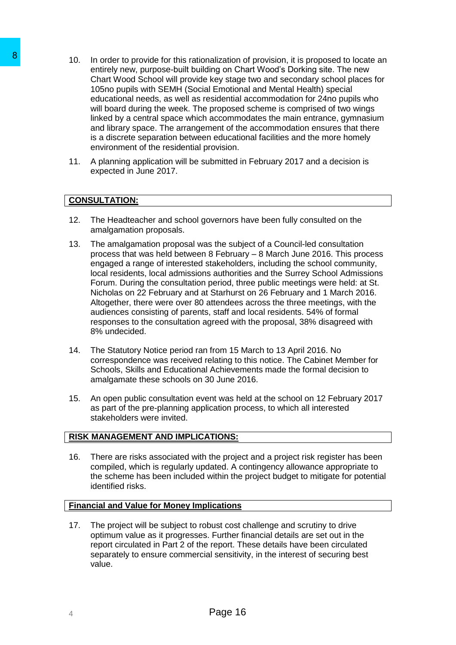- 10. In order to provide for this rationalization of provision, it is proposed to locate an entirely new, purpose-built building on Chart Wood's Dorking site. The new Chart Wood School will provide key stage two and secondary school places for 105no pupils with SEMH (Social Emotional and Mental Health) special educational needs, as well as residential accommodation for 24no pupils who will board during the week. The proposed scheme is comprised of two wings linked by a central space which accommodates the main entrance, gymnasium and library space. The arrangement of the accommodation ensures that there is a discrete separation between educational facilities and the more homely environment of the residential provision. 8<br>
10. In order to provide for this rationalization control provide to provide for this rationalization control control (1980) (1981) (1981) (1981) (1981) (1981) (1981) (1981) (1981) (1981) (1981) (1981) (1981) (1981) (19
	- 11. A planning application will be submitted in February 2017 and a decision is expected in June 2017.

## **CONSULTATION:**

- 12. The Headteacher and school governors have been fully consulted on the amalgamation proposals.
- 13. The amalgamation proposal was the subject of a Council-led consultation process that was held between 8 February – 8 March June 2016. This process engaged a range of interested stakeholders, including the school community, local residents, local admissions authorities and the Surrey School Admissions Forum. During the consultation period, three public meetings were held: at St. Nicholas on 22 February and at Starhurst on 26 February and 1 March 2016. Altogether, there were over 80 attendees across the three meetings, with the audiences consisting of parents, staff and local residents. 54% of formal responses to the consultation agreed with the proposal, 38% disagreed with 8% undecided.
- 14. The Statutory Notice period ran from 15 March to 13 April 2016. No correspondence was received relating to this notice. The Cabinet Member for Schools, Skills and Educational Achievements made the formal decision to amalgamate these schools on 30 June 2016.
- 15. An open public consultation event was held at the school on 12 February 2017 as part of the pre-planning application process, to which all interested stakeholders were invited.

## **RISK MANAGEMENT AND IMPLICATIONS:**

16. There are risks associated with the project and a project risk register has been compiled, which is regularly updated. A contingency allowance appropriate to the scheme has been included within the project budget to mitigate for potential identified risks.

#### **Financial and Value for Money Implications**

17. The project will be subject to robust cost challenge and scrutiny to drive optimum value as it progresses. Further financial details are set out in the report circulated in Part 2 of the report. These details have been circulated separately to ensure commercial sensitivity, in the interest of securing best value.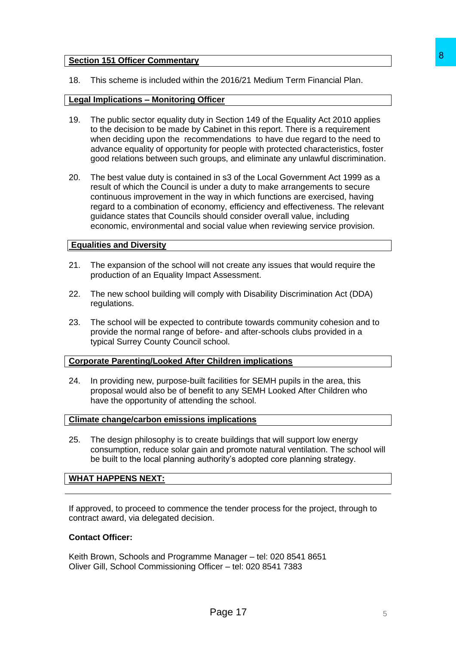#### **Section 151 Officer Commentary**

18. This scheme is included within the 2016/21 Medium Term Financial Plan.

## **Legal Implications – Monitoring Officer**

- 19. The public sector equality duty in Section 149 of the Equality Act 2010 applies to the decision to be made by Cabinet in this report. There is a requirement when deciding upon the recommendations to have due regard to the need to advance equality of opportunity for people with protected characteristics, foster good relations between such groups, and eliminate any unlawful discrimination.
- 20. The best value duty is contained in s3 of the Local Government Act 1999 as a result of which the Council is under a duty to make arrangements to secure continuous improvement in the way in which functions are exercised, having regard to a combination of economy, efficiency and effectiveness. The relevant guidance states that Councils should consider overall value, including economic, environmental and social value when reviewing service provision. 8<br>
The 2016/21 Medium Term Financial Plan.<br>
Internal Section 149 of the Equality Act 2010 applies<br>
about in this report. There is a requirement<br>
empedding to the Develoced characteristics, foster<br>
for people with protected

#### **Equalities and Diversity**

- 21. The expansion of the school will not create any issues that would require the production of an Equality Impact Assessment.
- 22. The new school building will comply with Disability Discrimination Act (DDA) regulations.
- 23. The school will be expected to contribute towards community cohesion and to provide the normal range of before- and after-schools clubs provided in a typical Surrey County Council school.

## **Corporate Parenting/Looked After Children implications**

24. In providing new, purpose-built facilities for SEMH pupils in the area, this proposal would also be of benefit to any SEMH Looked After Children who have the opportunity of attending the school.

#### **Climate change/carbon emissions implications**

25. The design philosophy is to create buildings that will support low energy consumption, reduce solar gain and promote natural ventilation. The school will be built to the local planning authority's adopted core planning strategy.

## **WHAT HAPPENS NEXT:**

If approved, to proceed to commence the tender process for the project, through to contract award, via delegated decision.

#### **Contact Officer:**

Keith Brown, Schools and Programme Manager – tel: 020 8541 8651 Oliver Gill, School Commissioning Officer – tel: 020 8541 7383